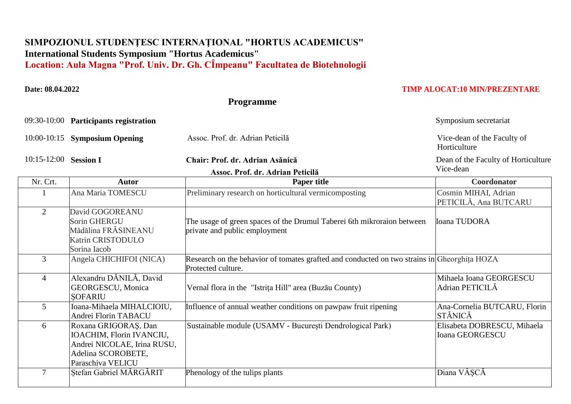## **SIMPOZIONUL STUDENŢESC INTERNAŢIONAL "HORTUS ACADEMICUS" International Students Symposium "Hortus Academicus"** Location: Aula Magna "Prof. Univ. Dr. Gh. CÎmpeanu" Facultatea de Biotehnologii

## **Date: 08.04.2022 TIMP ALOCAT:10 MIN/PREZENTARE**

 **Programme**

09:30-10:00 **Participants registration** Symposium secretariat

10:00-10:15 **Symposium Opening** Assoc. Prof. dr. Adrian Peticilă Vice-dean of the Faculty of

10:15-12:00 **Session I Chair: Prof. dr. Adrian Asănică** 

Horticulture

Dean of the Faculty of Horticulture Vice-dean

|                | V <sub>1</sub> ce-dean                                                                                                     |                                                                                                                   |                                                |
|----------------|----------------------------------------------------------------------------------------------------------------------------|-------------------------------------------------------------------------------------------------------------------|------------------------------------------------|
| Nr. Crt.       | <b>Autor</b>                                                                                                               | <b>Paper title</b>                                                                                                | Coordonator                                    |
|                | Ana Maria TOMESCU                                                                                                          | Preliminary research on horticultural vermicomposting                                                             | Cosmin MIHAI, Adrian<br>PETICILĂ, Ana BUTCARU  |
| 2              | David GOGOREANU<br>Sorin GHERGU<br>Mădălina FRĂSINEANU<br>Katrin CRISTODULO<br>Sorina Iacob                                | The usage of green spaces of the Drumul Taberei 6th mikroraion between<br>private and public employment           | <b>Ioana TUDORA</b>                            |
| 3              | Angela CHICHIFOI (NICA)                                                                                                    | Research on the behavior of tomates grafted and conducted on two strains in Gheorghita HOZA<br>Protected culture. |                                                |
| $\overline{4}$ | Alexandru DĂNILĂ, David<br><b>GEORGESCU, Monica</b><br><b>SOFARIU</b>                                                      | Vernal flora in the "Istrița Hill" area (Buzău County)                                                            | Mihaela Ioana GEORGESCU<br>Adrian PETICILĂ     |
| 5              | Ioana-Mihaela MIHALCIOIU,<br>Andrei Florin TABACU                                                                          | Influence of annual weather conditions on pawpaw fruit ripening                                                   | Ana-Cornelia BUTCARU, Florin<br><b>STĂNICĂ</b> |
| 6              | Roxana GRIGORAȘ, Dan<br>IOACHIM, Florin IVANCIU,<br>Andrei NICOLAE, Irina RUSU,<br>Adelina SCOROBETE,<br>Paraschiva VELICU | Sustainable module (USAMV - București Dendrological Park)                                                         | Elisabeta DOBRESCU, Mihaela<br>Ioana GEORGESCU |
| $\tau$         | Stefan Gabriel MARGARIT                                                                                                    | Phenology of the tulips plants                                                                                    | Diana VÂȘCĂ                                    |